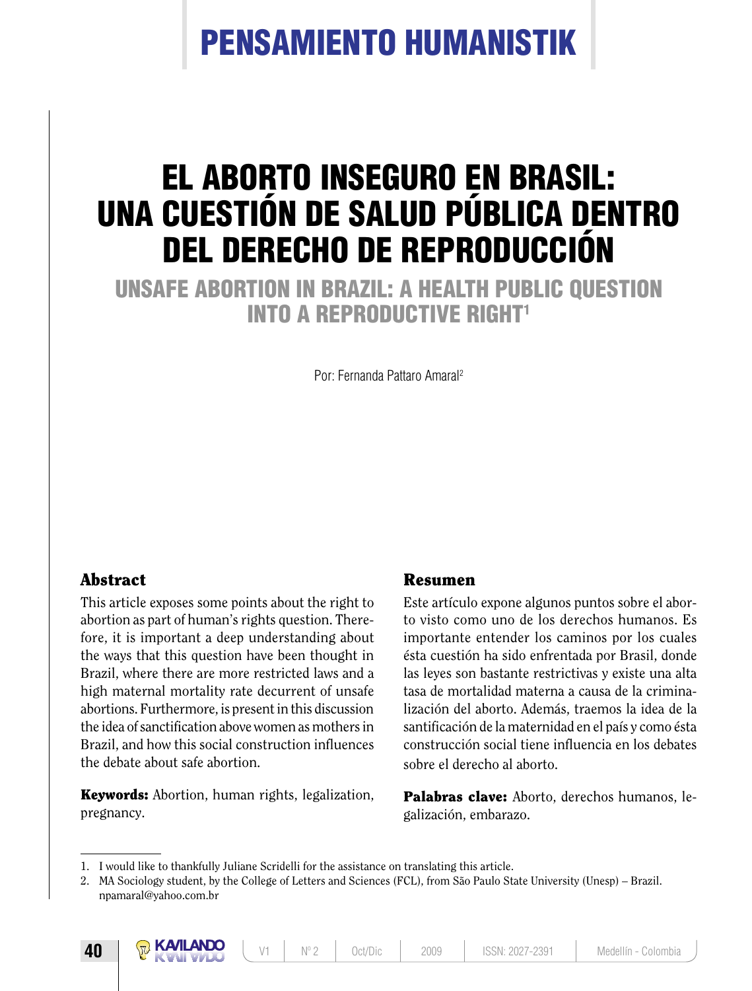# Pensamiento humanistik

# El aborto inseguro en Brasil: una cuestión de salud pública dentro del derecho de reproducción

Unsafe abortion in Brazil: a health public question INTO A REPRODUCTIVE RIGHT<sup>1</sup>

Por: Fernanda Pattaro Amaral2

### **Abstract**

This article exposes some points about the right to abortion as part of human's rights question. Therefore, it is important a deep understanding about the ways that this question have been thought in Brazil, where there are more restricted laws and a high maternal mortality rate decurrent of unsafe abortions. Furthermore, is present in this discussion the idea of sanctification above women as mothers in Brazil, and how this social construction influences the debate about safe abortion.

**Keywords:** Abortion, human rights, legalization, pregnancy.

#### Resumen

Este artículo expone algunos puntos sobre el aborto visto como uno de los derechos humanos. Es importante entender los caminos por los cuales ésta cuestión ha sido enfrentada por Brasil, donde las leyes son bastante restrictivas y existe una alta tasa de mortalidad materna a causa de la criminalización del aborto. Además, traemos la idea de la santificación de la maternidad en el país y como ésta construcción social tiene influencia en los debates sobre el derecho al aborto.

Palabras clave: Aborto, derechos humanos, legalización, embarazo.

<sup>1.</sup> I would like to thankfully Juliane Scridelli for the assistance on translating this article.

<sup>2.</sup> MA Sociology student, by the College of Letters and Sciences (FCL), from São Paulo State University (Unesp) – Brazil. npamaral@yahoo.com.br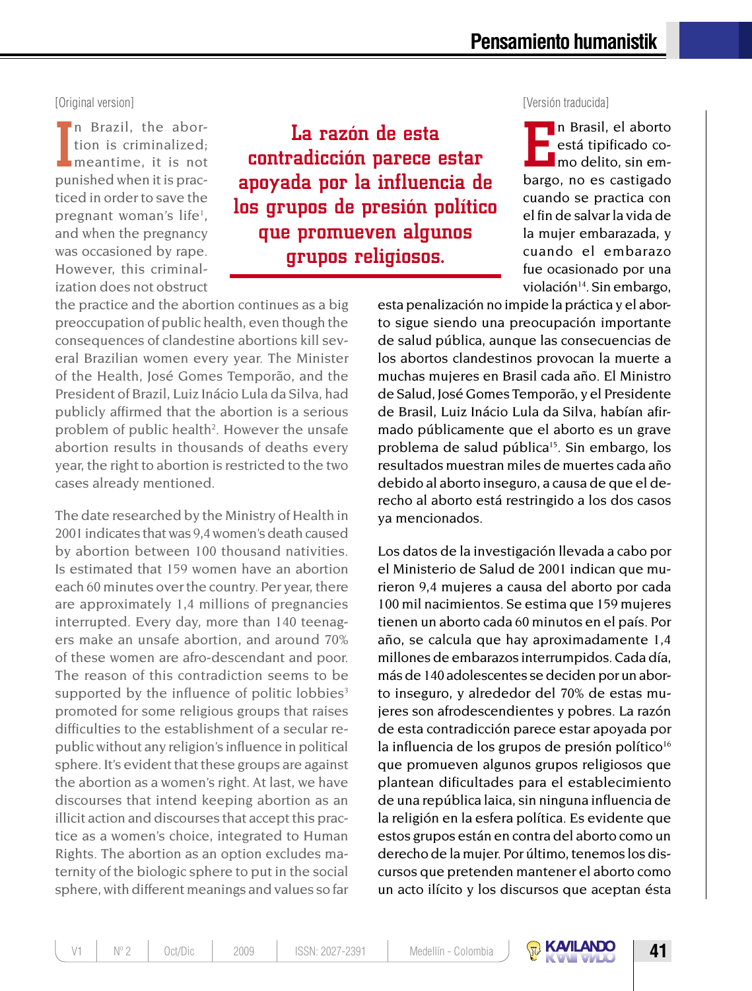In Brazil, the abortion is criminalized;<br>meantime, it is not<br>punished when it is prac-In Brazil, the abortion is criminalized; meantime, it is not ticed in order to save the pregnant woman's life<sup>1</sup>, and when the pregnancy was occasioned by rape. However, this criminalization does not obstruct

La razón de esta contradicción parece estar apoyada por la influencia de los grupos de presión político que promueven algunos grupos religiosos.

[Original version] [Versión traducida]

**Example 18** in Brasil, el aborto está tipificado como delito, sin embargo, no es castigado n Brasil, el aborto está tipificado como delito, sin emcuando se practica con el fin de salvar la vida de la mujer embarazada, y cuando el embarazo fue ocasionado por una violación<sup>14</sup>. Sin embargo,

the practice and the abortion continues as a big preoccupation of public health, even though the consequences of clandestine abortions kill several Brazilian women every year. The Minister of the Health, José Gomes Temporão, and the President of Brazil, Luiz Inácio Lula da Silva, had publicly affirmed that the abortion is a serious problem of public health<sup>2</sup>. However the unsafe abortion results in thousands of deaths every year, the right to abortion is restricted to the two cases already mentioned.

The date researched by the Ministry of Health in 2001 indicates that was 9,4 women's death caused by abortion between 100 thousand nativities. Is estimated that 159 women have an abortion each 60 minutes over the country. Per year, there are approximately 1,4 millions of pregnancies interrupted. Every day, more than 140 teenagers make an unsafe abortion, and around 70% of these women are afro-descendant and poor. The reason of this contradiction seems to be supported by the influence of politic lobbies $3$ promoted for some religious groups that raises difficulties to the establishment of a secular republic without any religion's influence in political sphere. It's evident that these groups are against the abortion as a women's right. At last, we have discourses that intend keeping abortion as an illicit action and discourses that accept this practice as a women's choice, integrated to Human Rights. The abortion as an option excludes maternity of the biologic sphere to put in the social sphere, with different meanings and values so far esta penalización no impide la práctica y el aborto sigue siendo una preocupación importante de salud pública, aunque las consecuencias de los abortos clandestinos provocan la muerte a muchas mujeres en Brasil cada año. El Ministro de Salud, José Gomes Temporão, y el Presidente de Brasil, Luiz Inácio Lula da Silva, habían afirmado públicamente que el aborto es un grave problema de salud pública<sup>15</sup>. Sin embargo, los resultados muestran miles de muertes cada año debido al aborto inseguro, a causa de que el derecho al aborto está restringido a los dos casos ya mencionados.

Los datos de la investigación llevada a cabo por el Ministerio de Salud de 2001 indican que murieron 9,4 mujeres a causa del aborto por cada 100 mil nacimientos. Se estima que 159 mujeres tienen un aborto cada 60 minutos en el país. Por año, se calcula que hay aproximadamente 1,4 millones de embarazos interrumpidos. Cada día, más de 140 adolescentes se deciden por un aborto inseguro, y alrededor del 70% de estas mujeres son afrodescendientes y pobres. La razón de esta contradicción parece estar apoyada por la influencia de los grupos de presión político $16$ que promueven algunos grupos religiosos que plantean dificultades para el establecimiento de una república laica, sin ninguna influencia de la religión en la esfera política. Es evidente que estos grupos están en contra del aborto como un derecho de la mujer. Por último, tenemos los discursos que pretenden mantener el aborto como un acto ilícito y los discursos que aceptan ésta

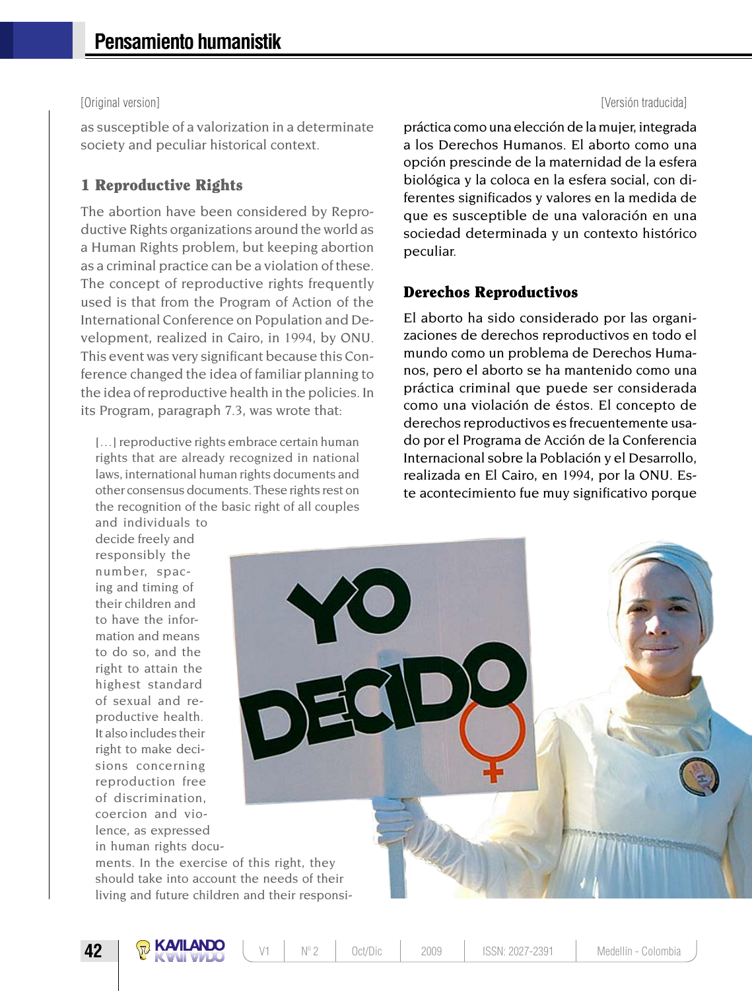as susceptible of a valorization in a determinate society and peculiar historical context.

#### 1 Reproductive Rights

The abortion have been considered by Reproductive Rights organizations around the world as a Human Rights problem, but keeping abortion as a criminal practice can be a violation of these. The concept of reproductive rights frequently used is that from the Program of Action of the International Conference on Population and Development, realized in Cairo, in 1994, by ONU. This event was very significant because this Conference changed the idea of familiar planning to the idea of reproductive health in the policies. In its Program, paragraph 7.3, was wrote that:

[...] reproductive rights embrace certain human rights that are already recognized in national laws, international human rights documents and other consensus documents. These rights rest on the recognition of the basic right of all couples

#### [Original version] [Versión traducida]

práctica como una elección de la mujer, integrada a los Derechos Humanos. El aborto como una opción prescinde de la maternidad de la esfera biológica y la coloca en la esfera social, con diferentes significados y valores en la medida de que es susceptible de una valoración en una sociedad determinada y un contexto histórico peculiar.

#### Derechos Reproductivos

El aborto ha sido considerado por las organizaciones de derechos reproductivos en todo el mundo como un problema de Derechos Humanos, pero el aborto se ha mantenido como una práctica criminal que puede ser considerada como una violación de éstos. El concepto de derechos reproductivos es frecuentemente usado por el Programa de Acción de la Conferencia Internacional sobre la Población y el Desarrollo, realizada en El Cairo, en 1994, por la ONU. Este acontecimiento fue muy significativo porque

and individuals to decide freely and responsibly the number, spacing and timing of their children and to have the information and means to do so, and the right to attain the highest standard of sexual and reproductive health. It also includes their right to make decisions concerning reproduction free of discrimination, coercion and violence, as expressed in human rights docu-

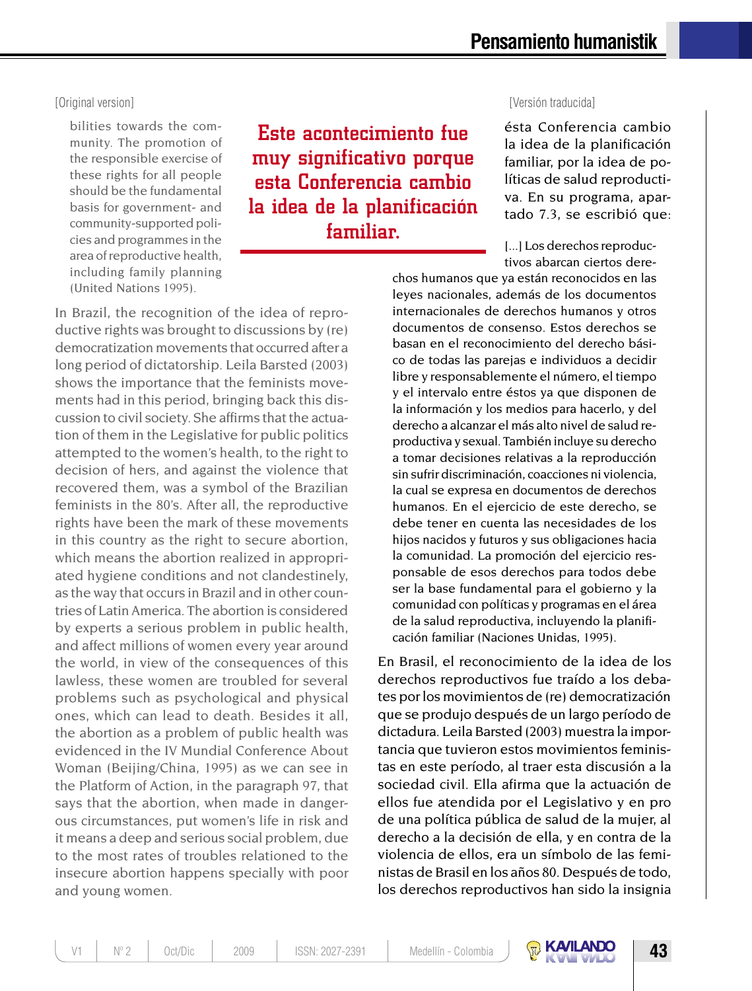ésta Conferencia cambio la idea de la planificación familiar, por la idea de políticas de salud reproducti-

#### [Original version] [Versión traducida]

bilities towards the community. The promotion of the responsible exercise of these rights for all people should be the fundamental basis for government- and community-supported policies and programmes in the area of reproductive health, including family planning (United Nations 1995).

Este acontecimiento fue muy significativo porque esta Conferencia cambio la idea de la planificación familiar.

In Brazil, the recognition of the idea of reproductive rights was brought to discussions by (re) democratization movements that occurred after a long period of dictatorship. Leila Barsted (2003) shows the importance that the feminists movements had in this period, bringing back this discussion to civil society. She affirms that the actuation of them in the Legislative for public politics attempted to the women's health, to the right to decision of hers, and against the violence that recovered them, was a symbol of the Brazilian feminists in the 80's. After all, the reproductive rights have been the mark of these movements in this country as the right to secure abortion, which means the abortion realized in appropriated hygiene conditions and not clandestinely, as the way that occurs in Brazil and in other countries of Latin America. The abortion is considered by experts a serious problem in public health, and affect millions of women every year around the world, in view of the consequences of this lawless, these women are troubled for several problems such as psychological and physical ones, which can lead to death. Besides it all, the abortion as a problem of public health was evidenced in the IV Mundial Conference About Woman (Beijing/China, 1995) as we can see in the Platform of Action, in the paragraph 97, that says that the abortion, when made in dangerous circumstances, put women's life in risk and it means a deep and serious social problem, due to the most rates of troubles relationed to the insecure abortion happens specially with poor and young women.

### va. En su programa, apartado 7.3, se escribió que: [...] Los derechos reproductivos abarcan ciertos dere-

chos humanos que ya están reconocidos en las leyes nacionales, además de los documentos internacionales de derechos humanos y otros documentos de consenso. Estos derechos se basan en el reconocimiento del derecho básico de todas las parejas e individuos a decidir libre y responsablemente el número, el tiempo y el intervalo entre éstos ya que disponen de la información y los medios para hacerlo, y del derecho a alcanzar el más alto nivel de salud reproductiva y sexual. También incluye su derecho a tomar decisiones relativas a la reproducción sin sufrir discriminación, coacciones ni violencia, la cual se expresa en documentos de derechos humanos. En el ejercicio de este derecho, se debe tener en cuenta las necesidades de los hijos nacidos y futuros y sus obligaciones hacia la comunidad. La promoción del ejercicio responsable de esos derechos para todos debe ser la base fundamental para el gobierno y la comunidad con políticas y programas en el área de la salud reproductiva, incluyendo la planificación familiar (Naciones Unidas, 1995).

En Brasil, el reconocimiento de la idea de los derechos reproductivos fue traído a los debates por los movimientos de (re) democratización que se produjo después de un largo período de dictadura. Leila Barsted (2003) muestra la importancia que tuvieron estos movimientos feministas en este período, al traer esta discusión a la sociedad civil. Ella afirma que la actuación de ellos fue atendida por el Legislativo y en pro de una política pública de salud de la mujer, al derecho a la decisión de ella, y en contra de la violencia de ellos, era un símbolo de las feministas de Brasil en los años 80. Después de todo, los derechos reproductivos han sido la insignia

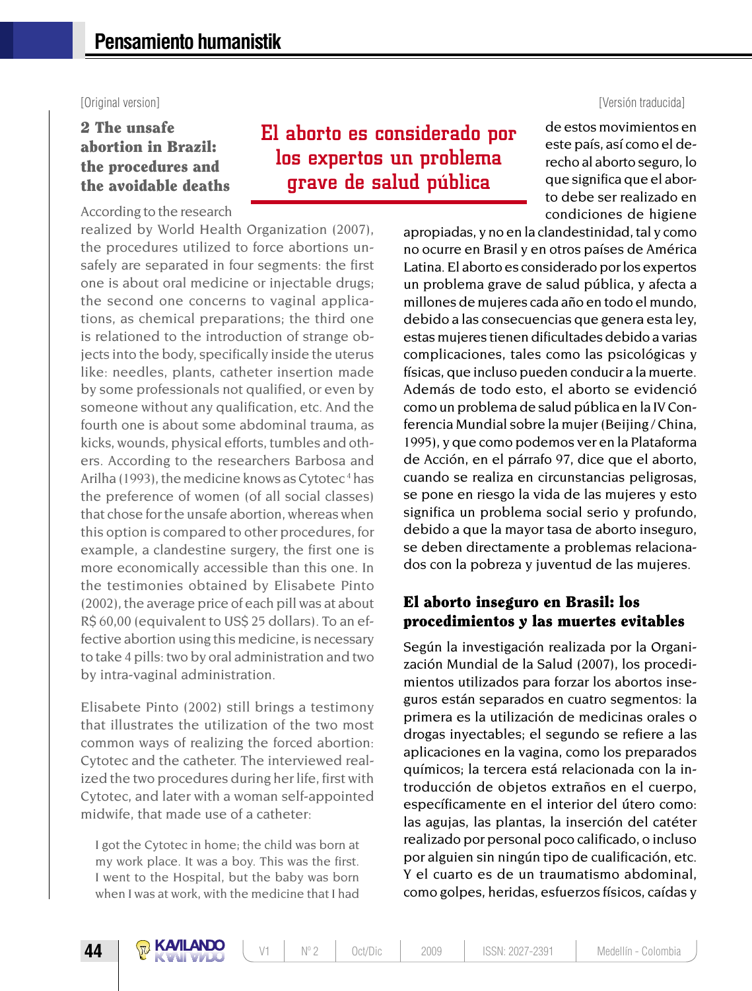[Original version] [Versión traducida]

### 2 The unsafe abortion in Brazil: the procedures and the avoidable deaths

According to the research

realized by World Health Organization (2007), the procedures utilized to force abortions unsafely are separated in four segments: the first one is about oral medicine or injectable drugs; the second one concerns to vaginal applications, as chemical preparations; the third one is relationed to the introduction of strange objects into the body, specifically inside the uterus like: needles, plants, catheter insertion made by some professionals not qualified, or even by someone without any qualification, etc. And the fourth one is about some abdominal trauma, as kicks, wounds, physical efforts, tumbles and others. According to the researchers Barbosa and Arilha (1993), the medicine knows as Cytotec<sup>4</sup> has the preference of women (of all social classes) that chose for the unsafe abortion, whereas when this option is compared to other procedures, for example, a clandestine surgery, the first one is more economically accessible than this one. In the testimonies obtained by Elisabete Pinto (2002), the average price of each pill was at about R\$ 60,00 (equivalent to US\$ 25 dollars). To an effective abortion using this medicine, is necessary to take 4 pills: two by oral administration and two by intra-vaginal administration.

Elisabete Pinto (2002) still brings a testimony that illustrates the utilization of the two most common ways of realizing the forced abortion: Cytotec and the catheter. The interviewed realized the two procedures during her life, first with Cytotec, and later with a woman self-appointed midwife, that made use of a catheter:

I got the Cytotec in home; the child was born at my work place. It was a boy. This was the first. I went to the Hospital, but the baby was born when I was at work, with the medicine that I had

## El aborto es considerado por los expertos un problema grave de salud pública

de estos movimientos en este país, así como el derecho al aborto seguro, lo que significa que el aborto debe ser realizado en condiciones de higiene

apropiadas, y no en la clandestinidad, tal y como no ocurre en Brasil y en otros países de América Latina. El aborto es considerado por los expertos un problema grave de salud pública, y afecta a millones de mujeres cada año en todo el mundo, debido a las consecuencias que genera esta ley, estas mujeres tienen dificultades debido a varias complicaciones, tales como las psicológicas y físicas, que incluso pueden conducir a la muerte. Además de todo esto, el aborto se evidenció como un problema de salud pública en la IV Conferencia Mundial sobre la mujer (Beijing / China, 1995), y que como podemos ver en la Plataforma de Acción, en el párrafo 97, dice que el aborto, cuando se realiza en circunstancias peligrosas, se pone en riesgo la vida de las mujeres y esto significa un problema social serio y profundo, debido a que la mayor tasa de aborto inseguro, se deben directamente a problemas relacionados con la pobreza y juventud de las mujeres.

### El aborto inseguro en Brasil: los procedimientos y las muertes evitables

Según la investigación realizada por la Organización Mundial de la Salud (2007), los procedimientos utilizados para forzar los abortos inseguros están separados en cuatro segmentos: la primera es la utilización de medicinas orales o drogas inyectables; el segundo se refiere a las aplicaciones en la vagina, como los preparados químicos; la tercera está relacionada con la introducción de objetos extraños en el cuerpo, específicamente en el interior del útero como: las agujas, las plantas, la inserción del catéter realizado por personal poco calificado, o incluso por alguien sin ningún tipo de cualificación, etc. Y el cuarto es de un traumatismo abdominal, como golpes, heridas, esfuerzos físicos, caídas y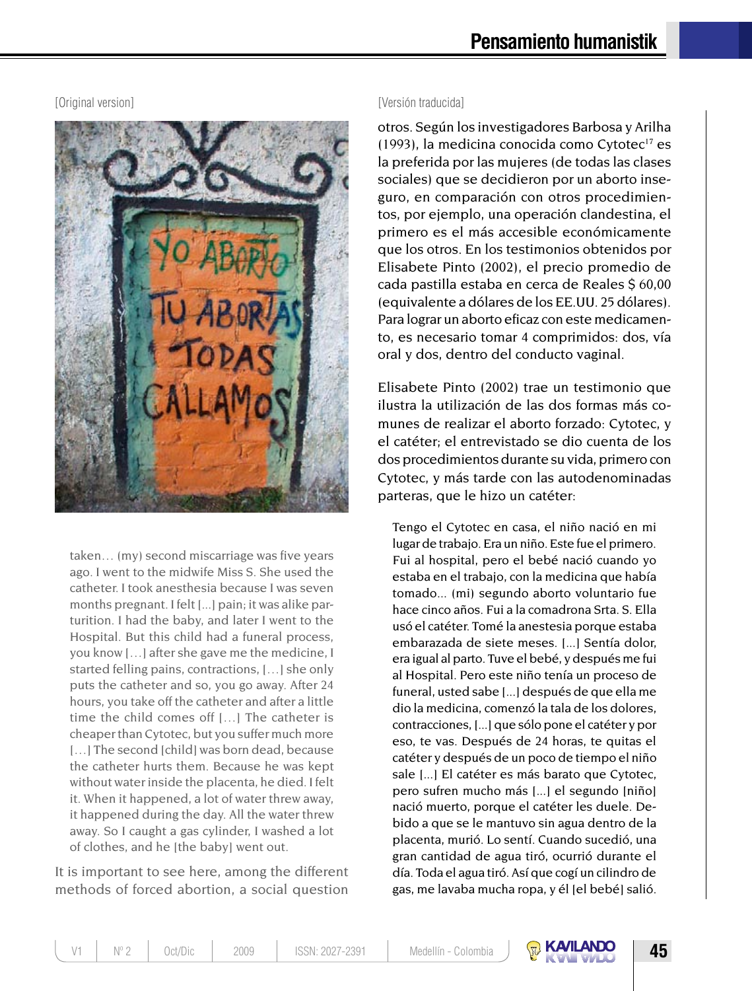

taken… (my) second miscarriage was five years ago. I went to the midwife Miss S. She used the catheter. I took anesthesia because I was seven months pregnant. I felt [...] pain; it was alike parturition. I had the baby, and later I went to the Hospital. But this child had a funeral process, you know […] after she gave me the medicine, I started felling pains, contractions, […] she only puts the catheter and so, you go away. After 24 hours, you take off the catheter and after a little time the child comes off […] The catheter is cheaper than Cytotec, but you suffer much more [...] The second [child] was born dead, because the catheter hurts them. Because he was kept without water inside the placenta, he died. I felt it. When it happened, a lot of water threw away, it happened during the day. All the water threw away. So I caught a gas cylinder, I washed a lot of clothes, and he [the baby] went out.

It is important to see here, among the different methods of forced abortion, a social question

#### [Original version] [Versión traducida]

otros. Según los investigadores Barbosa y Arilha  $(1993)$ , la medicina conocida como Cytotec<sup>17</sup> es la preferida por las mujeres (de todas las clases sociales) que se decidieron por un aborto inseguro, en comparación con otros procedimientos, por ejemplo, una operación clandestina, el primero es el más accesible económicamente que los otros. En los testimonios obtenidos por Elisabete Pinto (2002), el precio promedio de cada pastilla estaba en cerca de Reales \$ 60,00 (equivalente a dólares de los EE.UU. 25 dólares). Para lograr un aborto eficaz con este medicamento, es necesario tomar 4 comprimidos: dos, vía oral y dos, dentro del conducto vaginal.

Elisabete Pinto (2002) trae un testimonio que ilustra la utilización de las dos formas más comunes de realizar el aborto forzado: Cytotec, y el catéter; el entrevistado se dio cuenta de los dos procedimientos durante su vida, primero con Cytotec, y más tarde con las autodenominadas parteras, que le hizo un catéter:

Tengo el Cytotec en casa, el niño nació en mi lugar de trabajo. Era un niño. Este fue el primero. Fui al hospital, pero el bebé nació cuando yo estaba en el trabajo, con la medicina que había tomado... (mi) segundo aborto voluntario fue hace cinco años. Fui a la comadrona Srta. S. Ella usó el catéter. Tomé la anestesia porque estaba embarazada de siete meses. [...] Sentía dolor, era igual al parto. Tuve el bebé, y después me fui al Hospital. Pero este niño tenía un proceso de funeral, usted sabe [...] después de que ella me dio la medicina, comenzó la tala de los dolores, contracciones, [...] que sólo pone el catéter y por eso, te vas. Después de 24 horas, te quitas el catéter y después de un poco de tiempo el niño sale [...] El catéter es más barato que Cytotec, pero sufren mucho más [...] el segundo [niño] nació muerto, porque el catéter les duele. Debido a que se le mantuvo sin agua dentro de la placenta, murió. Lo sentí. Cuando sucedió, una gran cantidad de agua tiró, ocurrió durante el día. Toda el agua tiró. Así que cogí un cilindro de gas, me lavaba mucha ropa, y él [el bebé] salió.

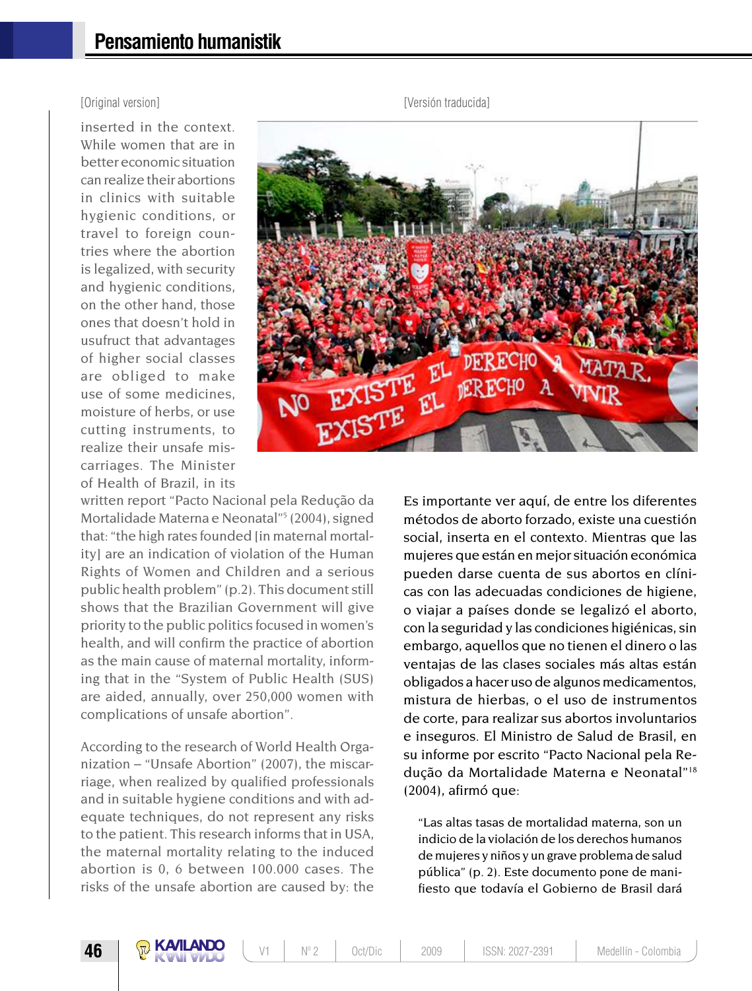inserted in the context. While women that are in better economic situation can realize their abortions in clinics with suitable hygienic conditions, or travel to foreign countries where the abortion is legalized, with security and hygienic conditions, on the other hand, those ones that doesn't hold in usufruct that advantages of higher social classes are obliged to make use of some medicines, moisture of herbs, or use cutting instruments, to realize their unsafe miscarriages. The Minister of Health of Brazil, in its



written report "Pacto Nacional pela Redução da Mortalidade Materna e Neonatal"<sup>5</sup> (2004), signed that: "the high rates founded [in maternal mortalityl are an indication of violation of the Human Rights of Women and Children and a serious public health problem" (p.2). This document still shows that the Brazilian Government will give priority to the public politics focused in women's health, and will confirm the practice of abortion as the main cause of maternal mortality, informing that in the "System of Public Health (SUS) are aided, annually, over 250,000 women with complications of unsafe abortion".

According to the research of World Health Organization – "Unsafe Abortion" (2007), the miscarriage, when realized by qualified professionals and in suitable hygiene conditions and with adequate techniques, do not represent any risks to the patient. This research informs that in USA, the maternal mortality relating to the induced abortion is 0, 6 between 100.000 cases. The risks of the unsafe abortion are caused by: the

Es importante ver aquí, de entre los diferentes métodos de aborto forzado, existe una cuestión social, inserta en el contexto. Mientras que las mujeres que están en mejor situación económica pueden darse cuenta de sus abortos en clínicas con las adecuadas condiciones de higiene, o viajar a países donde se legalizó el aborto, con la seguridad y las condiciones higiénicas, sin embargo, aquellos que no tienen el dinero o las ventajas de las clases sociales más altas están obligados a hacer uso de algunos medicamentos, mistura de hierbas, o el uso de instrumentos de corte, para realizar sus abortos involuntarios e inseguros. El Ministro de Salud de Brasil, en su informe por escrito "Pacto Nacional pela Redução da Mortalidade Materna e Neonatal"18 (2004), afirmó que:

"Las altas tasas de mortalidad materna, son un indicio de la violación de los derechos humanos de mujeres y niños y un grave problema de salud pública" (p. 2). Este documento pone de manifiesto que todavía el Gobierno de Brasil dará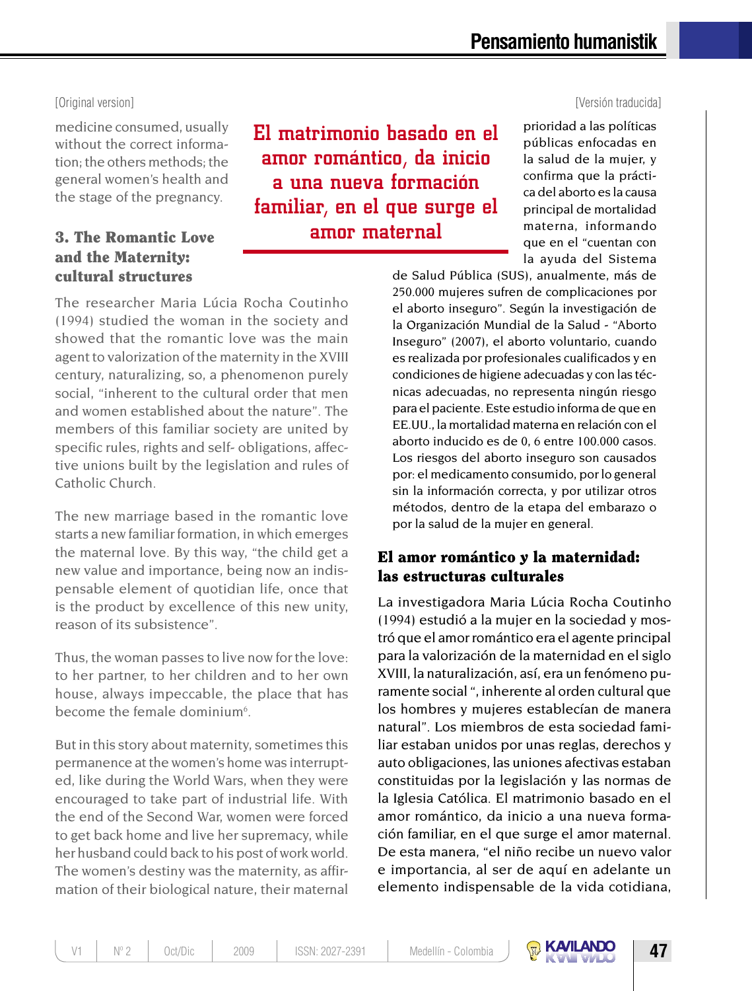#### [Original version] [Versión traducida]

medicine consumed, usually without the correct information; the others methods; the general women's health and the stage of the pregnancy.

### 3. The Romantic Love and the Maternity: cultural structures

El matrimonio basado en el amor romántico, da inicio a una nueva formación familiar, en el que surge el amor maternal

prioridad a las políticas públicas enfocadas en la salud de la mujer, y confirma que la práctica del aborto es la causa principal de mortalidad materna, informando que en el "cuentan con la ayuda del Sistema

de Salud Pública (SUS), anualmente, más de 250.000 mujeres sufren de complicaciones por el aborto inseguro". Según la investigación de la Organización Mundial de la Salud - "Aborto Inseguro" (2007), el aborto voluntario, cuando es realizada por profesionales cualificados y en condiciones de higiene adecuadas y con las técnicas adecuadas, no representa ningún riesgo para el paciente. Este estudio informa de que en EE.UU., la mortalidad materna en relación con el aborto inducido es de 0, 6 entre 100.000 casos. Los riesgos del aborto inseguro son causados por: el medicamento consumido, por lo general sin la información correcta, y por utilizar otros métodos, dentro de la etapa del embarazo o por la salud de la mujer en general.

#### El amor romántico y la maternidad: las estructuras culturales

La investigadora Maria Lúcia Rocha Coutinho (1994) estudió a la mujer en la sociedad y mostró que el amor romántico era el agente principal para la valorización de la maternidad en el siglo XVIII, la naturalización, así, era un fenómeno puramente social ", inherente al orden cultural que los hombres y mujeres establecían de manera natural". Los miembros de esta sociedad familiar estaban unidos por unas reglas, derechos y auto obligaciones, las uniones afectivas estaban constituidas por la legislación y las normas de la Iglesia Católica. El matrimonio basado en el amor romántico, da inicio a una nueva formación familiar, en el que surge el amor maternal. De esta manera, "el niño recibe un nuevo valor e importancia, al ser de aquí en adelante un elemento indispensable de la vida cotidiana,

The researcher Maria Lúcia Rocha Coutinho (1994) studied the woman in the society and showed that the romantic love was the main agent to valorization of the maternity in the XVIII century, naturalizing, so, a phenomenon purely social, "inherent to the cultural order that men and women established about the nature". The members of this familiar society are united by specific rules, rights and self- obligations, affective unions built by the legislation and rules of Catholic Church.

The new marriage based in the romantic love starts a new familiar formation, in which emerges the maternal love. By this way, "the child get a new value and importance, being now an indispensable element of quotidian life, once that is the product by excellence of this new unity, reason of its subsistence".

Thus, the woman passes to live now for the love: to her partner, to her children and to her own house, always impeccable, the place that has become the female dominium<sup>6</sup>.

But in this story about maternity, sometimes this permanence at the women's home was interrupted, like during the World Wars, when they were encouraged to take part of industrial life. With the end of the Second War, women were forced to get back home and live her supremacy, while her husband could back to his post of work world. The women's destiny was the maternity, as affirmation of their biological nature, their maternal

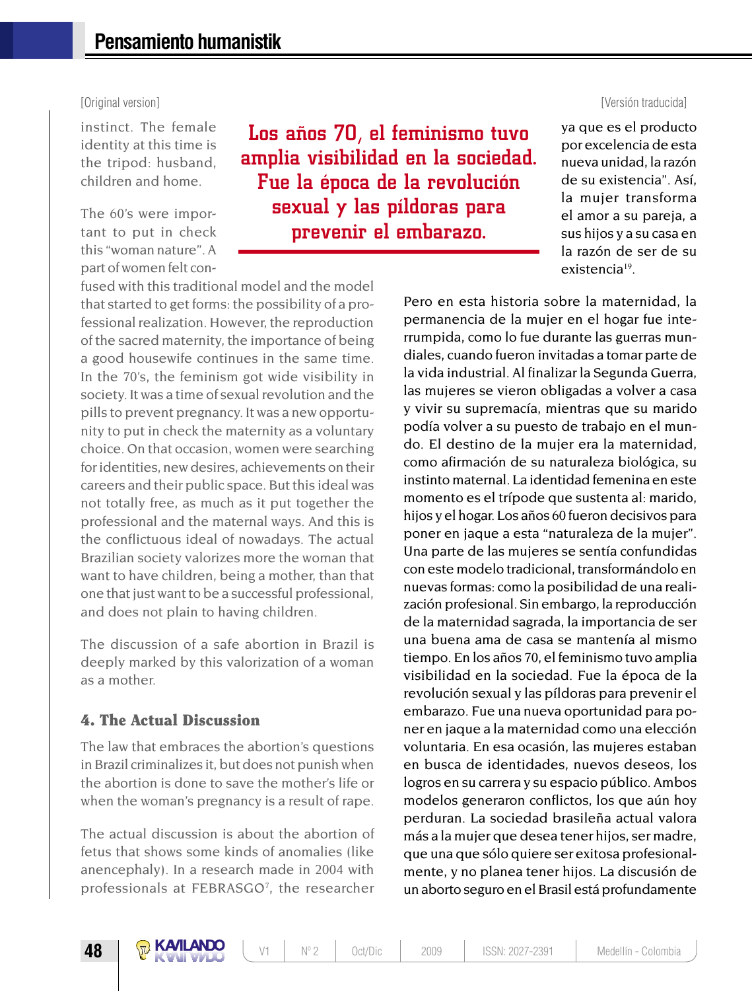instinct. The female identity at this time is the tripod: husband, children and home.

The 60's were important to put in check this "woman nature". A part of women felt con-

fused with this traditional model and the model that started to get forms: the possibility of a professional realization. However, the reproduction of the sacred maternity, the importance of being a good housewife continues in the same time. In the 70's, the feminism got wide visibility in society. It was a time of sexual revolution and the pills to prevent pregnancy. It was a new opportunity to put in check the maternity as a voluntary choice. On that occasion, women were searching for identities, new desires, achievements on their careers and their public space. But this ideal was not totally free, as much as it put together the professional and the maternal ways. And this is the conflictuous ideal of nowadays. The actual Brazilian society valorizes more the woman that want to have children, being a mother, than that one that just want to be a successful professional, and does not plain to having children.

The discussion of a safe abortion in Brazil is deeply marked by this valorization of a woman as a mother.

#### 4. The Actual Discussion

The law that embraces the abortion's questions in Brazil criminalizes it, but does not punish when the abortion is done to save the mother's life or when the woman's pregnancy is a result of rape.

The actual discussion is about the abortion of fetus that shows some kinds of anomalies (like anencephaly). In a research made in 2004 with professionals at FEBRASGO<sup>7</sup>, the researcher

## Los años 70, el feminismo tuvo amplia visibilidad en la sociedad. Fue la época de la revolución sexual y las píldoras para prevenir el embarazo.

#### [Original version] [Versión traducida]

ya que es el producto por excelencia de esta nueva unidad, la razón de su existencia". Así, la mujer transforma el amor a su pareja, a sus hijos y a su casa en la razón de ser de su existencia19.

Pero en esta historia sobre la maternidad, la permanencia de la mujer en el hogar fue interrumpida, como lo fue durante las guerras mundiales, cuando fueron invitadas a tomar parte de la vida industrial. Al finalizar la Segunda Guerra, las mujeres se vieron obligadas a volver a casa y vivir su supremacía, mientras que su marido podía volver a su puesto de trabajo en el mundo. El destino de la mujer era la maternidad, como afirmación de su naturaleza biológica, su instinto maternal. La identidad femenina en este momento es el trípode que sustenta al: marido, hijos y el hogar. Los años 60 fueron decisivos para poner en jaque a esta "naturaleza de la mujer". Una parte de las mujeres se sentía confundidas con este modelo tradicional, transformándolo en nuevas formas: como la posibilidad de una realización profesional. Sin embargo, la reproducción de la maternidad sagrada, la importancia de ser una buena ama de casa se mantenía al mismo tiempo. En los años 70, el feminismo tuvo amplia visibilidad en la sociedad. Fue la época de la revolución sexual y las píldoras para prevenir el embarazo. Fue una nueva oportunidad para poner en jaque a la maternidad como una elección voluntaria. En esa ocasión, las mujeres estaban en busca de identidades, nuevos deseos, los logros en su carrera y su espacio público. Ambos modelos generaron conflictos, los que aún hoy perduran. La sociedad brasileña actual valora más a la mujer que desea tener hijos, ser madre, que una que sólo quiere ser exitosa profesionalmente, y no planea tener hijos. La discusión de un aborto seguro en el Brasil está profundamente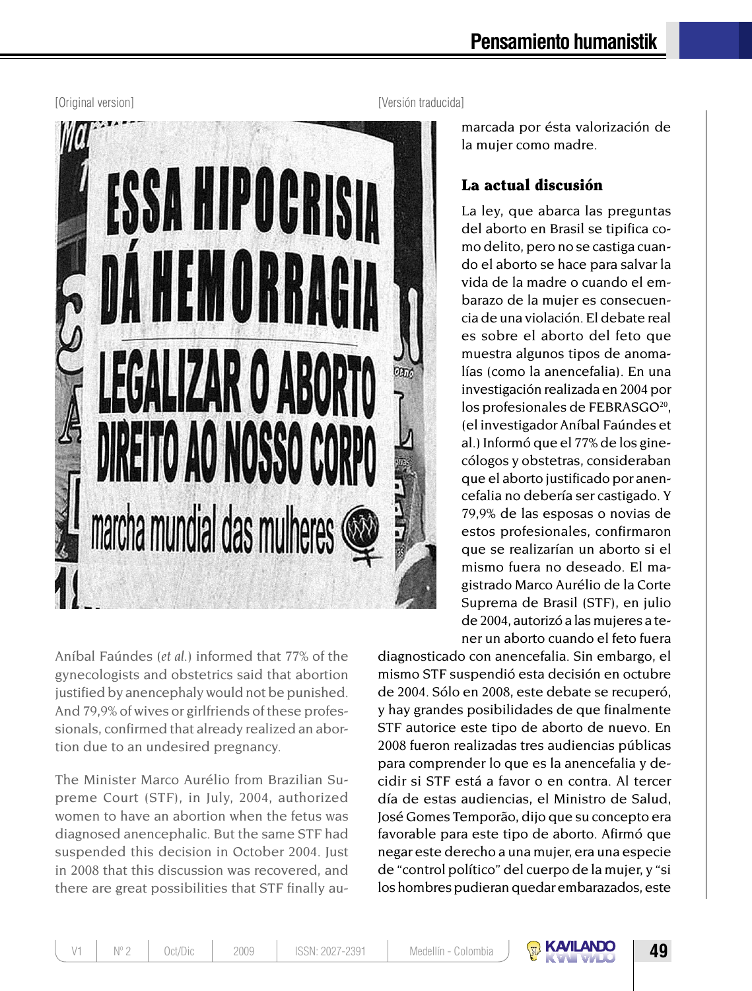

Aníbal Faúndes (*et al.*) informed that 77% of the gynecologists and obstetrics said that abortion justified by anencephaly would not be punished. And 79,9% of wives or girlfriends of these professionals, confirmed that already realized an abortion due to an undesired pregnancy.

The Minister Marco Aurélio from Brazilian Supreme Court (STF), in July, 2004, authorized women to have an abortion when the fetus was diagnosed anencephalic. But the same STF had suspended this decision in October 2004. Just in 2008 that this discussion was recovered, and there are great possibilities that STF finally au-

[Original version] [Versión traducida]

marcada por ésta valorización de la mujer como madre.

### La actual discusión

La ley, que abarca las preguntas del aborto en Brasil se tipifica como delito, pero no se castiga cuando el aborto se hace para salvar la vida de la madre o cuando el embarazo de la mujer es consecuencia de una violación. El debate real es sobre el aborto del feto que muestra algunos tipos de anomalías (como la anencefalia). En una investigación realizada en 2004 por los profesionales de FEBRASGO<sup>20</sup>, (el investigador Aníbal Faúndes et al.) Informó que el 77% de los ginecólogos y obstetras, consideraban que el aborto justificado por anencefalia no debería ser castigado. Y 79,9% de las esposas o novias de estos profesionales, confirmaron que se realizarían un aborto si el mismo fuera no deseado. El magistrado Marco Aurélio de la Corte Suprema de Brasil (STF), en julio de 2004, autorizó a las mujeres a tener un aborto cuando el feto fuera

diagnosticado con anencefalia. Sin embargo, el mismo STF suspendió esta decisión en octubre de 2004. Sólo en 2008, este debate se recuperó, y hay grandes posibilidades de que finalmente STF autorice este tipo de aborto de nuevo. En 2008 fueron realizadas tres audiencias públicas para comprender lo que es la anencefalia y decidir si STF está a favor o en contra. Al tercer día de estas audiencias, el Ministro de Salud, José Gomes Temporão, dijo que su concepto era favorable para este tipo de aborto. Afirmó que negar este derecho a una mujer, era una especie de "control político" del cuerpo de la mujer, y "si los hombres pudieran quedar embarazados, este

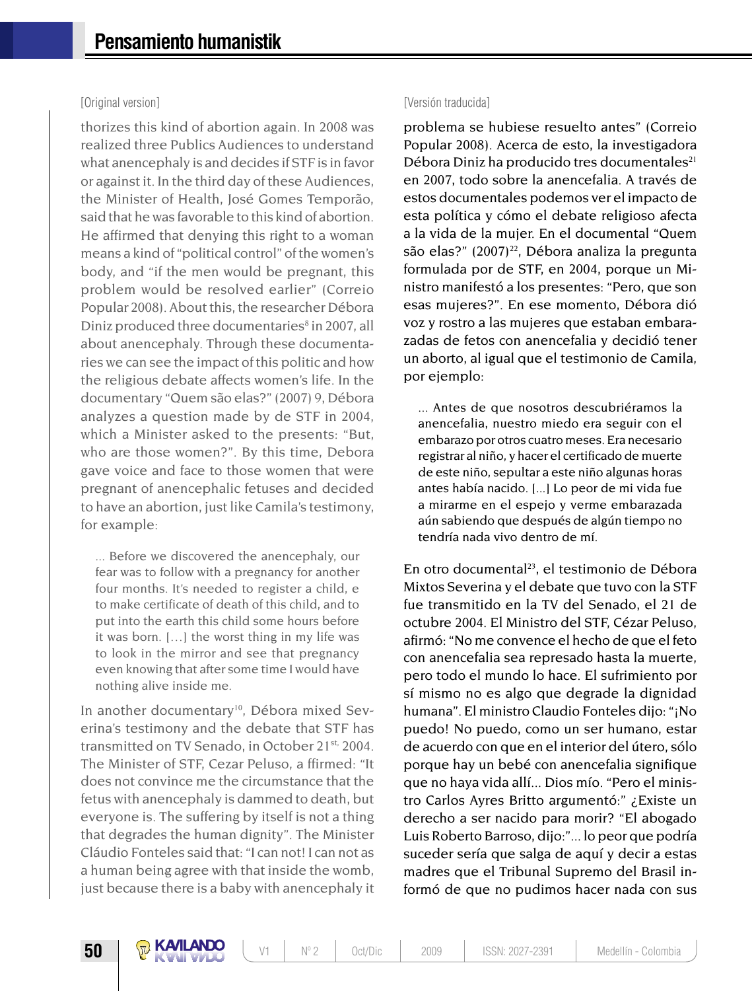thorizes this kind of abortion again. In 2008 was realized three Publics Audiences to understand what anencephaly is and decides if STF is in favor or against it. In the third day of these Audiences, the Minister of Health, José Gomes Temporão, said that he was favorable to this kind of abortion. He affirmed that denying this right to a woman means a kind of "political control" of the women's body, and "if the men would be pregnant, this problem would be resolved earlier" (Correio Popular 2008). About this, the researcher Débora Diniz produced three documentaries<sup>8</sup> in 2007, all about anencephaly. Through these documentaries we can see the impact of this politic and how the religious debate affects women's life. In the documentary "Quem são elas?" (2007) 9, Débora analyzes a question made by de STF in 2004, which a Minister asked to the presents: "But, who are those women?". By this time, Debora gave voice and face to those women that were pregnant of anencephalic fetuses and decided to have an abortion, just like Camila's testimony, for example:

... Before we discovered the anencephaly, our fear was to follow with a pregnancy for another four months. It's needed to register a child, e to make certificate of death of this child, and to put into the earth this child some hours before it was born. […] the worst thing in my life was to look in the mirror and see that pregnancy even knowing that after some time I would have nothing alive inside me.

In another documentary<sup>10</sup>, Débora mixed Severina's testimony and the debate that STF has transmitted on TV Senado, in October 21<sup>st,</sup> 2004. The Minister of STF, Cezar Peluso, a ffirmed: "It does not convince me the circumstance that the fetus with anencephaly is dammed to death, but everyone is. The suffering by itself is not a thing that degrades the human dignity". The Minister Cláudio Fonteles said that: "I can not! I can not as a human being agree with that inside the womb, just because there is a baby with anencephaly it

#### [Original version] [Versión traducida]

problema se hubiese resuelto antes" (Correio Popular 2008). Acerca de esto, la investigadora Débora Diniz ha producido tres documentales<sup>21</sup> en 2007, todo sobre la anencefalia. A través de estos documentales podemos ver el impacto de esta política y cómo el debate religioso afecta a la vida de la mujer. En el documental "Quem são elas?"  $(2007)^{22}$ , Débora analiza la pregunta formulada por de STF, en 2004, porque un Ministro manifestó a los presentes: "Pero, que son esas mujeres?". En ese momento, Débora dió voz y rostro a las mujeres que estaban embarazadas de fetos con anencefalia y decidió tener un aborto, al igual que el testimonio de Camila, por ejemplo:

... Antes de que nosotros descubriéramos la anencefalia, nuestro miedo era seguir con el embarazo por otros cuatro meses. Era necesario registrar al niño, y hacer el certificado de muerte de este niño, sepultar a este niño algunas horas antes había nacido. [...] Lo peor de mi vida fue a mirarme en el espejo y verme embarazada aún sabiendo que después de algún tiempo no tendría nada vivo dentro de mí.

En otro documental<sup>23</sup>, el testimonio de Débora Mixtos Severina y el debate que tuvo con la STF fue transmitido en la TV del Senado, el 21 de octubre 2004. El Ministro del STF, Cézar Peluso, afirmó: "No me convence el hecho de que el feto con anencefalia sea represado hasta la muerte, pero todo el mundo lo hace. El sufrimiento por sí mismo no es algo que degrade la dignidad humana". El ministro Claudio Fonteles dijo: "¡No puedo! No puedo, como un ser humano, estar de acuerdo con que en el interior del útero, sólo porque hay un bebé con anencefalia signifique que no haya vida allí... Dios mío. "Pero el ministro Carlos Ayres Britto argumentó:" ¿Existe un derecho a ser nacido para morir? "El abogado Luis Roberto Barroso, dijo:"... lo peor que podría suceder sería que salga de aquí y decir a estas madres que el Tribunal Supremo del Brasil informó de que no pudimos hacer nada con sus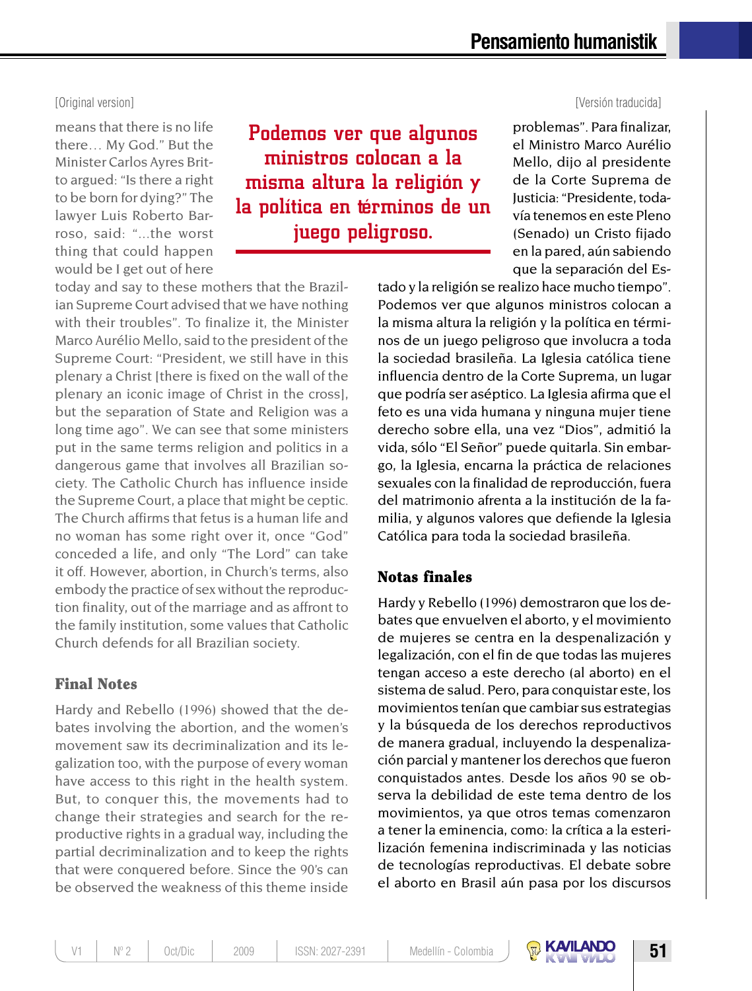#### [Original version] [Versión traducida]

means that there is no life there… My God." But the Minister Carlos Ayres Britto argued: "Is there a right to be born for dying?" The lawyer Luis Roberto Barroso, said: "...the worst thing that could happen would be I get out of here

Podemos ver que algunos ministros colocan a la misma altura la religión y la política en términos de un juego peligroso.

problemas". Para finalizar, el Ministro Marco Aurélio Mello, dijo al presidente de la Corte Suprema de Justicia: "Presidente, todavía tenemos en este Pleno (Senado) un Cristo fijado en la pared, aún sabiendo que la separación del Es-

tado y la religión se realizo hace mucho tiempo". Podemos ver que algunos ministros colocan a la misma altura la religión y la política en términos de un juego peligroso que involucra a toda la sociedad brasileña. La Iglesia católica tiene influencia dentro de la Corte Suprema, un lugar que podría ser aséptico. La Iglesia afirma que el feto es una vida humana y ninguna mujer tiene derecho sobre ella, una vez "Dios", admitió la vida, sólo "El Señor" puede quitarla. Sin embargo, la Iglesia, encarna la práctica de relaciones sexuales con la finalidad de reproducción, fuera del matrimonio afrenta a la institución de la familia, y algunos valores que defiende la Iglesia Católica para toda la sociedad brasileña.

#### Notas finales

Hardy y Rebello (1996) demostraron que los debates que envuelven el aborto, y el movimiento de mujeres se centra en la despenalización y legalización, con el fin de que todas las mujeres tengan acceso a este derecho (al aborto) en el sistema de salud. Pero, para conquistar este, los movimientos tenían que cambiar sus estrategias y la búsqueda de los derechos reproductivos de manera gradual, incluyendo la despenalización parcial y mantener los derechos que fueron conquistados antes. Desde los años 90 se observa la debilidad de este tema dentro de los movimientos, ya que otros temas comenzaron a tener la eminencia, como: la crítica a la esterilización femenina indiscriminada y las noticias de tecnologías reproductivas. El debate sobre el aborto en Brasil aún pasa por los discursos

today and say to these mothers that the Brazilian Supreme Court advised that we have nothing with their troubles". To finalize it, the Minister Marco Aurélio Mello, said to the president of the Supreme Court: "President, we still have in this plenary a Christ [there is fixed on the wall of the plenary an iconic image of Christ in the cross], but the separation of State and Religion was a long time ago". We can see that some ministers put in the same terms religion and politics in a dangerous game that involves all Brazilian society. The Catholic Church has influence inside the Supreme Court, a place that might be ceptic. The Church affirms that fetus is a human life and no woman has some right over it, once "God" conceded a life, and only "The Lord" can take it off. However, abortion, in Church's terms, also embody the practice of sex without the reproduction finality, out of the marriage and as affront to the family institution, some values that Catholic Church defends for all Brazilian society.

#### Final Notes

Hardy and Rebello (1996) showed that the debates involving the abortion, and the women's movement saw its decriminalization and its legalization too, with the purpose of every woman have access to this right in the health system. But, to conquer this, the movements had to change their strategies and search for the reproductive rights in a gradual way, including the partial decriminalization and to keep the rights that were conquered before. Since the 90's can be observed the weakness of this theme inside

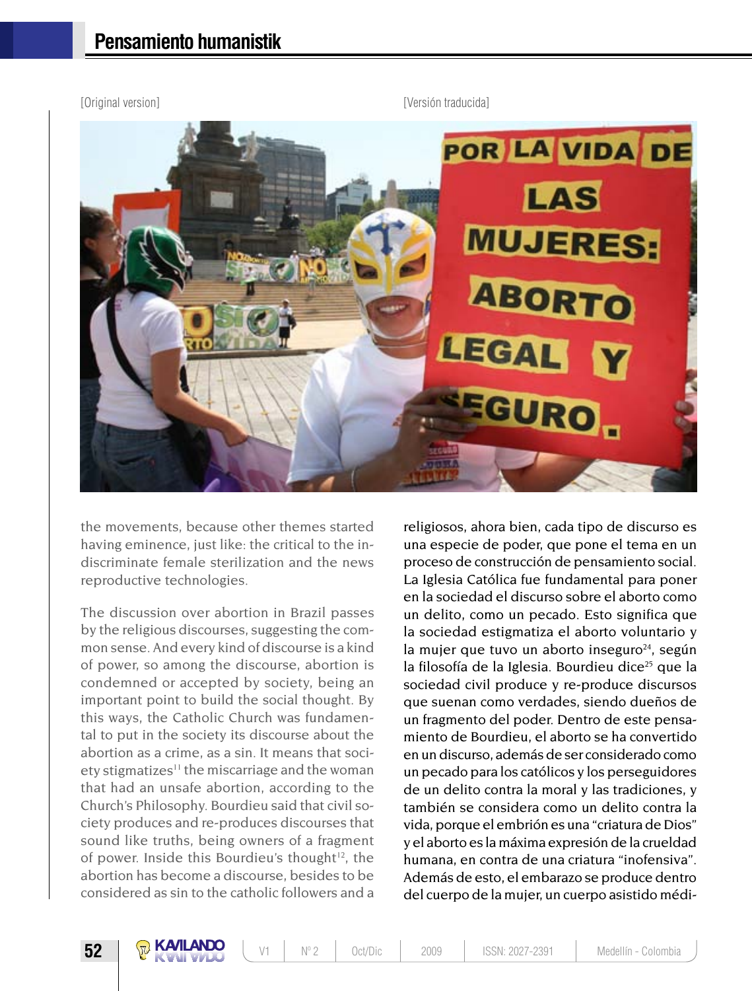

the movements, because other themes started having eminence, just like: the critical to the indiscriminate female sterilization and the news reproductive technologies.

The discussion over abortion in Brazil passes by the religious discourses, suggesting the common sense. And every kind of discourse is a kind of power, so among the discourse, abortion is condemned or accepted by society, being an important point to build the social thought. By this ways, the Catholic Church was fundamental to put in the society its discourse about the abortion as a crime, as a sin. It means that soci $etv$  stigmatizes<sup>11</sup> the miscarriage and the woman that had an unsafe abortion, according to the Church's Philosophy. Bourdieu said that civil society produces and re-produces discourses that sound like truths, being owners of a fragment of power. Inside this Bourdieu's thought $12$ , the abortion has become a discourse, besides to be considered as sin to the catholic followers and a

religiosos, ahora bien, cada tipo de discurso es una especie de poder, que pone el tema en un proceso de construcción de pensamiento social. La Iglesia Católica fue fundamental para poner en la sociedad el discurso sobre el aborto como un delito, como un pecado. Esto significa que la sociedad estigmatiza el aborto voluntario y la mujer que tuvo un aborto inseguro $24$ , según la filosofía de la Iglesia. Bourdieu dice<sup>25</sup> que la sociedad civil produce y re-produce discursos que suenan como verdades, siendo dueños de un fragmento del poder. Dentro de este pensamiento de Bourdieu, el aborto se ha convertido en un discurso, además de ser considerado como un pecado para los católicos y los perseguidores de un delito contra la moral y las tradiciones, y también se considera como un delito contra la vida, porque el embrión es una "criatura de Dios" y el aborto es la máxima expresión de la crueldad humana, en contra de una criatura "inofensiva". Además de esto, el embarazo se produce dentro del cuerpo de la mujer, un cuerpo asistido médi-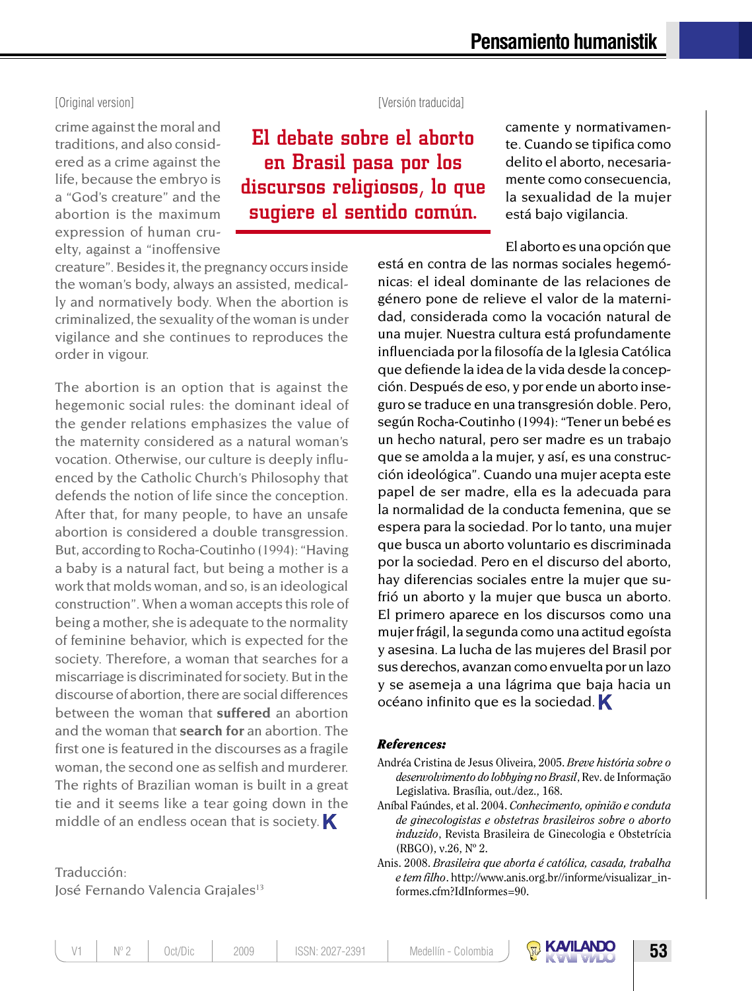crime against the moral and traditions, and also considered as a crime against the life, because the embryo is a "God's creature" and the abortion is the maximum expression of human cruelty, against a "inoffensive

#### [Original version] [Versión traducida]

El debate sobre el aborto en Brasil pasa por los discursos religiosos, lo que sugiere el sentido común.

camente y normativamente. Cuando se tipifica como delito el aborto, necesariamente como consecuencia, la sexualidad de la mujer está bajo vigilancia.

El aborto es una opción que

creature". Besides it, the pregnancy occurs inside the woman's body, always an assisted, medically and normatively body. When the abortion is criminalized, the sexuality of the woman is under vigilance and she continues to reproduces the order in vigour.

The abortion is an option that is against the hegemonic social rules: the dominant ideal of the gender relations emphasizes the value of the maternity considered as a natural woman's vocation. Otherwise, our culture is deeply influenced by the Catholic Church's Philosophy that defends the notion of life since the conception. After that, for many people, to have an unsafe abortion is considered a double transgression. But, according to Rocha-Coutinho (1994): "Having a baby is a natural fact, but being a mother is a work that molds woman, and so, is an ideological construction". When a woman accepts this role of being a mother, she is adequate to the normality of feminine behavior, which is expected for the society. Therefore, a woman that searches for a miscarriage is discriminated for society. But in the discourse of abortion, there are social differences between the woman that **suffered** an abortion and the woman that **search for** an abortion. The first one is featured in the discourses as a fragile woman, the second one as selfish and murderer. The rights of Brazilian woman is built in a great tie and it seems like a tear going down in the middle of an endless ocean that is society.  $\blacksquare$ 

Traducción: José Fernando Valencia Grajales<sup>13</sup> está en contra de las normas sociales hegemónicas: el ideal dominante de las relaciones de género pone de relieve el valor de la maternidad, considerada como la vocación natural de una mujer. Nuestra cultura está profundamente influenciada por la filosofía de la Iglesia Católica que defiende la idea de la vida desde la concepción. Después de eso, y por ende un aborto inseguro se traduce en una transgresión doble. Pero, según Rocha-Coutinho (1994): "Tener un bebé es un hecho natural, pero ser madre es un trabajo que se amolda a la mujer, y así, es una construcción ideológica". Cuando una mujer acepta este papel de ser madre, ella es la adecuada para la normalidad de la conducta femenina, que se espera para la sociedad. Por lo tanto, una mujer que busca un aborto voluntario es discriminada por la sociedad. Pero en el discurso del aborto, hay diferencias sociales entre la mujer que sufrió un aborto y la mujer que busca un aborto. El primero aparece en los discursos como una mujer frágil, la segunda como una actitud egoísta y asesina. La lucha de las mujeres del Brasil por sus derechos, avanzan como envuelta por un lazo y se asemeja a una lágrima que baja hacia un océano infinito que es la sociedad.

#### *References:*

- Andréa Cristina de Jesus Oliveira, 2005. *Breve história sobre o desenvolvimento do lobbying no Brasil*, Rev. de Informação Legislativa. Brasília, out./dez., 168.
- Aníbal Faúndes, et al. 2004. *Conhecimento, opinião e conduta de ginecologistas e obstetras brasileiros sobre o aborto induzido*, Revista Brasileira de Ginecologia e Obstetrícia (RBGO), v.26, Nº 2.
- Anis. 2008. *Brasileira que aborta é católica, casada, trabalha e tem filho*. http://www.anis.org.br//informe/visualizar\_informes.cfm?IdInformes=90.

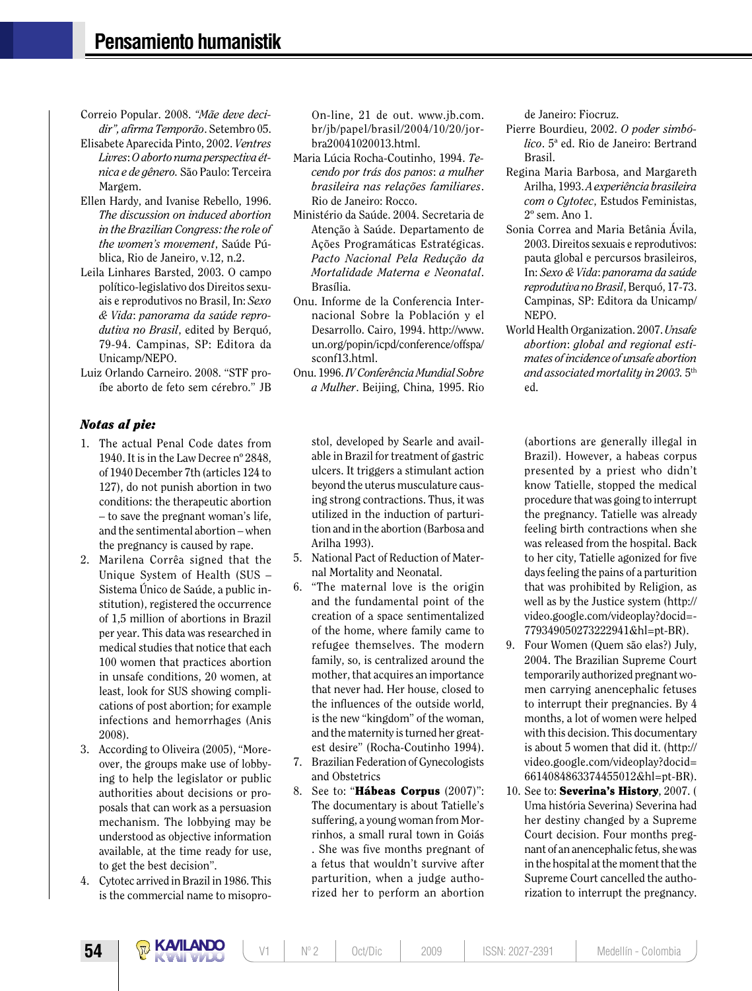- Correio Popular. 2008. *"Mãe deve decidir", afirma Temporão*. Setembro 05.
- Elisabete Aparecida Pinto, 2002. *Ventres Livres*: *O aborto numa perspectiva étnica e de gênero.* São Paulo: Terceira Margem.
- Ellen Hardy, and Ivanise Rebello, 1996. *The discussion on induced abortion in the Brazilian Congress: the role of the women's movement*, Saúde Pública, Rio de Janeiro, v.12, n.2.
- Leila Linhares Barsted, 2003. O campo político-legislativo dos Direitos sexuais e reprodutivos no Brasil, In: *Sexo & Vida*: *panorama da saúde reprodutiva no Brasil*, edited by Berquó, 79-94. Campinas, SP: Editora da Unicamp/NEPO.

Luiz Orlando Carneiro. 2008. "STF proíbe aborto de feto sem cérebro." JB

#### *Notas al pie:*

- 1. The actual Penal Code dates from 1940. It is in the Law Decree nº 2848, of 1940 December 7th (articles 124 to 127), do not punish abortion in two conditions: the therapeutic abortion – to save the pregnant woman's life, and the sentimental abortion – when the pregnancy is caused by rape.
- 2. Marilena Corrêa signed that the Unique System of Health (SUS – Sistema Único de Saúde, a public institution), registered the occurrence of 1,5 million of abortions in Brazil per year. This data was researched in medical studies that notice that each 100 women that practices abortion in unsafe conditions, 20 women, at least, look for SUS showing complications of post abortion; for example infections and hemorrhages (Anis 2008).
- 3. According to Oliveira (2005), "Moreover, the groups make use of lobbying to help the legislator or public authorities about decisions or proposals that can work as a persuasion mechanism. The lobbying may be understood as objective information available, at the time ready for use, to get the best decision".
- 4. Cytotec arrived in Brazil in 1986. This is the commercial name to misopro-

On-line, 21 de out. www.jb.com. br/jb/papel/brasil/2004/10/20/jorbra20041020013.html.

- Maria Lúcia Rocha-Coutinho, 1994. *Tecendo por trás dos panos*: *a mulher brasileira nas relações familiares*. Rio de Janeiro: Rocco.
- Ministério da Saúde. 2004. Secretaria de Atenção à Saúde. Departamento de Ações Programáticas Estratégicas. *Pacto Nacional Pela Redução da Mortalidade Materna e Neonatal*. Brasília.
- Onu. Informe de la Conferencia Internacional Sobre la Población y el Desarrollo. Cairo, 1994. http://www. un.org/popin/icpd/conference/offspa/ sconf13.html.
- Onu. 1996. *IV Conferência Mundial Sobre a Mulher*. Beijing, China, 1995. Rio

stol, developed by Searle and available in Brazil for treatment of gastric ulcers. It triggers a stimulant action beyond the uterus musculature causing strong contractions. Thus, it was utilized in the induction of parturition and in the abortion (Barbosa and Arilha 1993).

- 5. National Pact of Reduction of Maternal Mortality and Neonatal.
- 6. "The maternal love is the origin and the fundamental point of the creation of a space sentimentalized of the home, where family came to refugee themselves. The modern family, so, is centralized around the mother, that acquires an importance that never had. Her house, closed to the influences of the outside world, is the new "kingdom" of the woman, and the maternity is turned her greatest desire" (Rocha-Coutinho 1994).
- 7. Brazilian Federation of Gynecologists and Obstetrics
- 8. See to: "Hábeas Corpus (2007)": The documentary is about Tatielle's suffering, a young woman from Morrinhos, a small rural town in Goiás . She was five months pregnant of a fetus that wouldn't survive after parturition, when a judge authorized her to perform an abortion

de Janeiro: Fiocruz.

- Pierre Bourdieu, 2002. *O poder simbólico*. 5ª ed. Rio de Janeiro: Bertrand Brasil.
- Regina Maria Barbosa, and Margareth Arilha, 1993. *A experiência brasileira com o Cytotec*, Estudos Feministas, 2º sem. Ano 1.
- Sonia Correa and Maria Betânia Ávila, 2003. Direitos sexuais e reprodutivos: pauta global e percursos brasileiros, In: *Sexo & Vida*: *panorama da saúde reprodutiva no Brasil*, Berquó, 17-73. Campinas, SP: Editora da Unicamp/ NEPO.
- World Health Organization. 2007. *Unsafe abortion*: *global and regional estimates of incidence of unsafe abortion and associated mortality in 2003.* 5th ed.

(abortions are generally illegal in Brazil). However, a habeas corpus presented by a priest who didn't know Tatielle, stopped the medical procedure that was going to interrupt the pregnancy. Tatielle was already feeling birth contractions when she was released from the hospital. Back to her city, Tatielle agonized for five days feeling the pains of a parturition that was prohibited by Religion, as well as by the Justice system (http:// video.google.com/videoplay?docid=- 779349050273222941&hl=pt-BR).

- 9. Four Women (Quem são elas?) July, 2004. The Brazilian Supreme Court temporarily authorized pregnant women carrying anencephalic fetuses to interrupt their pregnancies. By 4 months, a lot of women were helped with this decision. This documentary is about 5 women that did it. (http:// video.google.com/videoplay?docid= 6614084863374455012&hl=pt-BR).
- 10. See to: **Severina's History**, 2007. ( Uma história Severina) Severina had her destiny changed by a Supreme Court decision. Four months pregnant of an anencephalic fetus, she was in the hospital at the moment that the Supreme Court cancelled the authorization to interrupt the pregnancy.